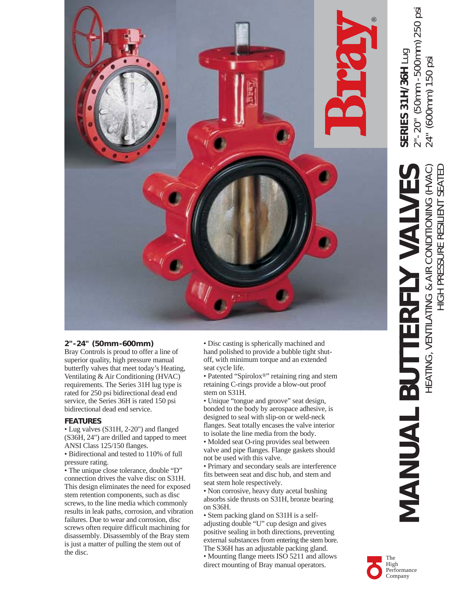

### **2"-24" (50mm-600mm)**

Bray Controls is proud to offer a line of superior quality, high pressure manual butterfly valves that meet today's Heating, Ventilating & Air Conditioning (HVAC) requirements. The Series 31H lug type is rated for 250 psi bidirectional dead end service, the Series 36H is rated 150 psi bidirectional dead end service.

### **FEATURES**

• Lug valves (S31H, 2-20") and flanged (S36H, 24") are drilled and tapped to meet ANSI Class 125/150 flanges.

• Bidirectional and tested to 110% of full pressure rating.

• The unique close tolerance, double "D" connection drives the valve disc on S31H. This design eliminates the need for exposed stem retention components, such as disc screws, to the line media which commonly results in leak paths, corrosion, and vibration failures. Due to wear and corrosion, disc screws often require difficult machining for disassembly. Disassembly of the Bray stem is just a matter of pulling the stem out of the disc.

• Disc casting is spherically machined and hand polished to provide a bubble tight shutoff, with minimum torque and an extended seat cycle life.

• Patented "Spirolox®" retaining ring and stem retaining C-rings provide a blow-out proof stem on S31H.

• Unique "tongue and groove" seat design, bonded to the body by aerospace adhesive, is designed to seal with slip-on or weld-neck flanges. Seat totally encases the valve interior to isolate the line media from the body.

• Molded seat O-ring provides seal between valve and pipe flanges. Flange gaskets should not be used with this valve.

• Primary and secondary seals are interference fits between seat and disc hub, and stem and seat stem hole respectively.

• Non corrosive, heavy duty acetal bushing absorbs side thrusts on S31H, bronze bearing on S36H.

• Stem packing gland on S31H is a selfadjusting double "U" cup design and gives positive sealing in both directions, preventing external substances from entering the stem bore. The S36H has an adjustable packing gland. • Mounting flange meets ISO 5211 and allows direct mounting of Bray manual operators.